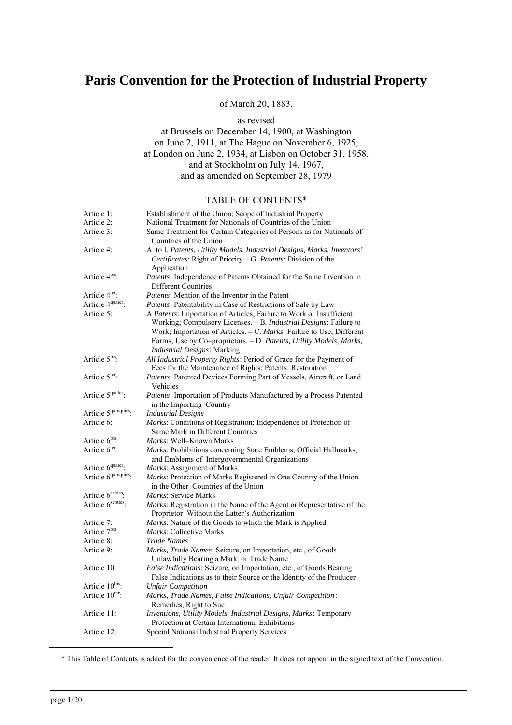# **Paris Convention for the Protection of Industrial Property**

of March 20, 1883,

#### as revised

at Brussels on December 14, 1900, at Washington on June 2, 1911, at The Hague on November 6, 1925, at London on June 2, 1934, at Lisbon on October 31, 1958, and at Stockholm on July 14, 1967, and as amended on September 28, 1979

#### TABLE OF CONTENTS\*

| Article 1:                       | Establishment of the Union; Scope of Industrial Property                                                                                                                                                                                                                                                                     |
|----------------------------------|------------------------------------------------------------------------------------------------------------------------------------------------------------------------------------------------------------------------------------------------------------------------------------------------------------------------------|
| Article 2:                       | National Treatment for Nationals of Countries of the Union                                                                                                                                                                                                                                                                   |
| Article 3:                       | Same Treatment for Certain Categories of Persons as for Nationals of<br>Countries of the Union                                                                                                                                                                                                                               |
| Article 4:                       | A. to I. Patents, Utility Models, Industrial Designs, Marks, Inventors'<br>Certificates: Right of Priority.- G. Patents: Division of the<br>Application                                                                                                                                                                      |
| Article 4bis:                    | Patents: Independence of Patents Obtained for the Same Invention in<br><b>Different Countries</b>                                                                                                                                                                                                                            |
| Article 4ter:                    | <i>Patents:</i> Mention of the Inventor in the Patent                                                                                                                                                                                                                                                                        |
| Article 4 <sup>quater</sup> :    | Patents: Patentability in Case of Restrictions of Sale by Law                                                                                                                                                                                                                                                                |
| Article 5:                       | A Patents: Importation of Articles; Failure to Work or Insufficient<br>Working; Compulsory Licenses. - B. Industrial Designs: Failure to<br>Work; Importation of Articles. - C. Marks: Failure to Use; Different<br>Forms; Use by Co-proprietors. - D. Patents, Utility Models, Marks,<br><b>Industrial Designs: Marking</b> |
| Article 5bis:                    | All Industrial Property Rights: Period of Grace for the Payment of<br>Fees for the Maintenance of Rights; Patents: Restoration                                                                                                                                                                                               |
| Article 5ter:                    | Patents: Patented Devices Forming Part of Vessels, Aircraft, or Land<br>Vehicles                                                                                                                                                                                                                                             |
| Article 5 <sup>quater</sup> :    | Patents: Importation of Products Manufactured by a Process Patented<br>in the Importing Country                                                                                                                                                                                                                              |
| Article 5 <sup>quinquies</sup> : | <b>Industrial Designs</b>                                                                                                                                                                                                                                                                                                    |
| Article 6:                       | Marks: Conditions of Registration; Independence of Protection of<br>Same Mark in Different Countries                                                                                                                                                                                                                         |
| Article $6^{bis}$ :              | <i>Marks</i> : Well-Known Marks                                                                                                                                                                                                                                                                                              |
| Article 6 <sup>ter</sup> :       | Marks: Prohibitions concerning State Emblems, Official Hallmarks,<br>and Emblems of Intergovernmental Organizations                                                                                                                                                                                                          |
| Article 6 <sup>quater</sup> :    | Marks: Assignment of Marks                                                                                                                                                                                                                                                                                                   |
| Article 6 <sup>quinquies</sup> : | Marks: Protection of Marks Registered in One Country of the Union<br>in the Other Countries of the Union                                                                                                                                                                                                                     |
| Article 6 <sup>sexies</sup> :    | Marks: Service Marks                                                                                                                                                                                                                                                                                                         |
| Article 6 <sup>septies</sup> :   | Marks: Registration in the Name of the Agent or Representative of the<br>Proprietor Without the Latter's Authorization                                                                                                                                                                                                       |
| Article 7:                       | Marks: Nature of the Goods to which the Mark is Applied                                                                                                                                                                                                                                                                      |
| Article 7bis:                    | Marks: Collective Marks                                                                                                                                                                                                                                                                                                      |
| Article 8:                       | <b>Trade Names</b>                                                                                                                                                                                                                                                                                                           |
| Article 9:                       | Marks, Trade Names: Seizure, on Importation, etc., of Goods<br>Unlawfully Bearing a Mark or Trade Name                                                                                                                                                                                                                       |
| Article 10:                      | False Indications: Seizure, on Importation, etc., of Goods Bearing<br>False Indications as to their Source or the Identity of the Producer                                                                                                                                                                                   |
| Article 10bis:                   | <b>Unfair Competition</b>                                                                                                                                                                                                                                                                                                    |
| Article 10 <sup>ter</sup> :      | Marks, Trade Names, False Indications, Unfair Competition:<br>Remedies, Right to Sue                                                                                                                                                                                                                                         |
| Article 11:                      | Inventions, Utility Models, Industrial Designs, Marks: Temporary<br>Protection at Certain International Exhibitions                                                                                                                                                                                                          |
| Article 12:                      | Special National Industrial Property Services                                                                                                                                                                                                                                                                                |

\* This Table of Contents is added for the convenience of the reader. It does not appear in the signed text of the Convention.

**.**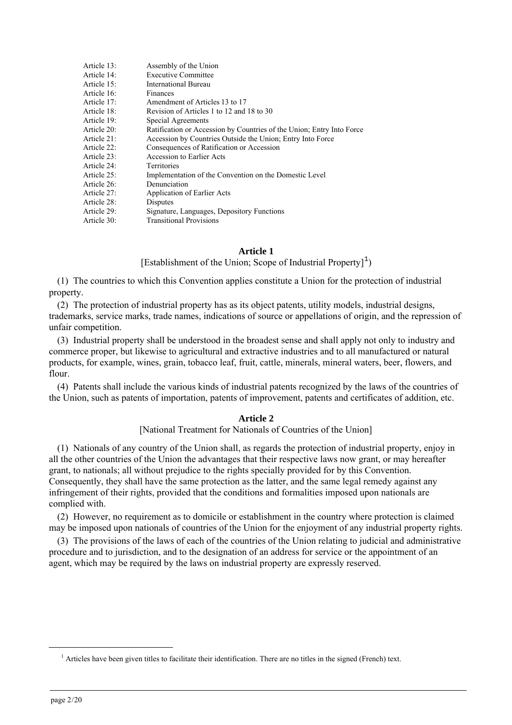| Article 13: | Assembly of the Union                                                 |
|-------------|-----------------------------------------------------------------------|
| Article 14: | <b>Executive Committee</b>                                            |
| Article 15: | International Bureau                                                  |
| Article 16: | <b>Finances</b>                                                       |
| Article 17: | Amendment of Articles 13 to 17                                        |
| Article 18: | Revision of Articles 1 to 12 and 18 to 30                             |
| Article 19: | Special Agreements                                                    |
| Article 20: | Ratification or Accession by Countries of the Union; Entry Into Force |
| Article 21: | Accession by Countries Outside the Union; Entry Into Force            |
| Article 22: | Consequences of Ratification or Accession                             |
| Article 23: | <b>Accession to Earlier Acts</b>                                      |
| Article 24: | <b>Territories</b>                                                    |
| Article 25: | Implementation of the Convention on the Domestic Level                |
| Article 26: | Denunciation                                                          |
| Article 27: | Application of Earlier Acts                                           |
| Article 28: | Disputes                                                              |
| Article 29: | Signature, Languages, Depository Functions                            |
| Article 30: | <b>Transitional Provisions</b>                                        |

[Establishment of the Union; Scope of Industrial Property] $<sup>1</sup>$ )</sup>

(1) The countries to which this Convention applies constitute a Union for the protection of industrial property.

(2) The protection of industrial property has as its object patents, utility models, industrial designs, trademarks, service marks, trade names, indications of source or appellations of origin, and the repression of unfair competition.

(3) Industrial property shall be understood in the broadest sense and shall apply not only to industry and commerce proper, but likewise to agricultural and extractive industries and to all manufactured or natural products, for example, wines, grain, tobacco leaf, fruit, cattle, minerals, mineral waters, beer, flowers, and flour.

(4) Patents shall include the various kinds of industrial patents recognized by the laws of the countries of the Union, such as patents of importation, patents of improvement, patents and certificates of addition, etc.

#### **Article 2**

[National Treatment for Nationals of Countries of the Union]

(1) Nationals of any country of the Union shall, as regards the protection of industrial property, enjoy in all the other countries of the Union the advantages that their respective laws now grant, or may hereafter grant, to nationals; all without prejudice to the rights specially provided for by this Convention. Consequently, they shall have the same protection as the latter, and the same legal remedy against any infringement of their rights, provided that the conditions and formalities imposed upon nationals are complied with.

(2) However, no requirement as to domicile or establishment in the country where protection is claimed may be imposed upon nationals of countries of the Union for the enjoyment of any industrial property rights.

(3) The provisions of the laws of each of the countries of the Union relating to judicial and administrative procedure and to jurisdiction, and to the designation of an address for service or the appointment of an agent, which may be required by the laws on industrial property are expressly reserved.

 $\frac{1}{1}$ <sup>1</sup> Articles have been given titles to facilitate their identification. There are no titles in the signed (French) text.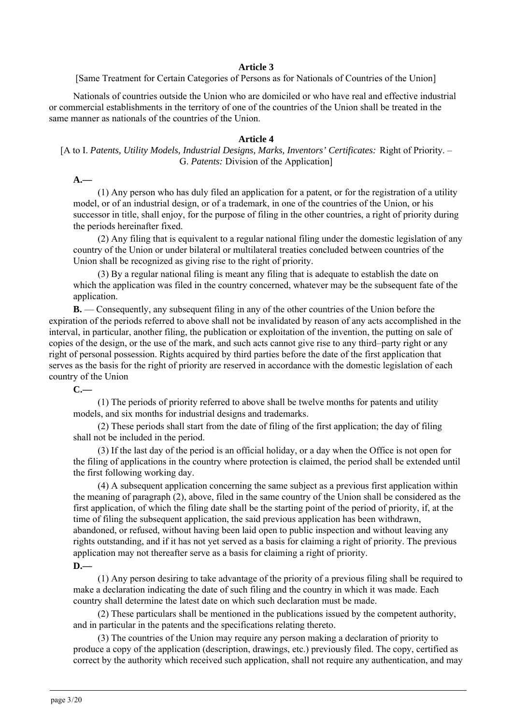[Same Treatment for Certain Categories of Persons as for Nationals of Countries of the Union]

Nationals of countries outside the Union who are domiciled or who have real and effective industrial or commercial establishments in the territory of one of the countries of the Union shall be treated in the same manner as nationals of the countries of the Union.

#### **Article 4**

[A to I. *Patents, Utility Models, Industrial Designs, Marks, Inventors' Certificates:* Right of Priority. – G. *Patents:* Division of the Application]

**A.—**

(1) Any person who has duly filed an application for a patent, or for the registration of a utility model, or of an industrial design, or of a trademark, in one of the countries of the Union, or his successor in title, shall enjoy, for the purpose of filing in the other countries, a right of priority during the periods hereinafter fixed.

(2) Any filing that is equivalent to a regular national filing under the domestic legislation of any country of the Union or under bilateral or multilateral treaties concluded between countries of the Union shall be recognized as giving rise to the right of priority.

(3) By a regular national filing is meant any filing that is adequate to establish the date on which the application was filed in the country concerned, whatever may be the subsequent fate of the application.

**B.** — Consequently, any subsequent filing in any of the other countries of the Union before the expiration of the periods referred to above shall not be invalidated by reason of any acts accomplished in the interval, in particular, another filing, the publication or exploitation of the invention, the putting on sale of copies of the design, or the use of the mark, and such acts cannot give rise to any third–party right or any right of personal possession. Rights acquired by third parties before the date of the first application that serves as the basis for the right of priority are reserved in accordance with the domestic legislation of each country of the Union

**C.—**

(1) The periods of priority referred to above shall be twelve months for patents and utility models, and six months for industrial designs and trademarks.

(2) These periods shall start from the date of filing of the first application; the day of filing shall not be included in the period.

(3) If the last day of the period is an official holiday, or a day when the Office is not open for the filing of applications in the country where protection is claimed, the period shall be extended until the first following working day.

(4) A subsequent application concerning the same subject as a previous first application within the meaning of paragraph (2), above, filed in the same country of the Union shall be considered as the first application, of which the filing date shall be the starting point of the period of priority, if, at the time of filing the subsequent application, the said previous application has been withdrawn, abandoned, or refused, without having been laid open to public inspection and without leaving any rights outstanding, and if it has not yet served as a basis for claiming a right of priority. The previous application may not thereafter serve as a basis for claiming a right of priority.

**D.—**

(1) Any person desiring to take advantage of the priority of a previous filing shall be required to make a declaration indicating the date of such filing and the country in which it was made. Each country shall determine the latest date on which such declaration must be made.

(2) These particulars shall be mentioned in the publications issued by the competent authority, and in particular in the patents and the specifications relating thereto.

(3) The countries of the Union may require any person making a declaration of priority to produce a copy of the application (description, drawings, etc.) previously filed. The copy, certified as correct by the authority which received such application, shall not require any authentication, and may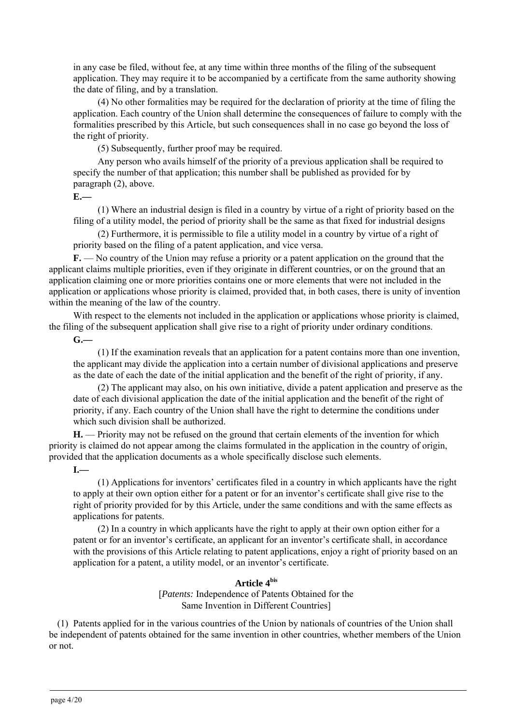in any case be filed, without fee, at any time within three months of the filing of the subsequent application. They may require it to be accompanied by a certificate from the same authority showing the date of filing, and by a translation.

(4) No other formalities may be required for the declaration of priority at the time of filing the application. Each country of the Union shall determine the consequences of failure to comply with the formalities prescribed by this Article, but such consequences shall in no case go beyond the loss of the right of priority.

(5) Subsequently, further proof may be required.

Any person who avails himself of the priority of a previous application shall be required to specify the number of that application; this number shall be published as provided for by paragraph (2), above.

**E.—**

(1) Where an industrial design is filed in a country by virtue of a right of priority based on the filing of a utility model, the period of priority shall be the same as that fixed for industrial designs

(2) Furthermore, it is permissible to file a utility model in a country by virtue of a right of priority based on the filing of a patent application, and vice versa.

**F.** — No country of the Union may refuse a priority or a patent application on the ground that the applicant claims multiple priorities, even if they originate in different countries, or on the ground that an application claiming one or more priorities contains one or more elements that were not included in the application or applications whose priority is claimed, provided that, in both cases, there is unity of invention within the meaning of the law of the country.

With respect to the elements not included in the application or applications whose priority is claimed, the filing of the subsequent application shall give rise to a right of priority under ordinary conditions.

**G.—**

(1) If the examination reveals that an application for a patent contains more than one invention, the applicant may divide the application into a certain number of divisional applications and preserve as the date of each the date of the initial application and the benefit of the right of priority, if any.

(2) The applicant may also, on his own initiative, divide a patent application and preserve as the date of each divisional application the date of the initial application and the benefit of the right of priority, if any. Each country of the Union shall have the right to determine the conditions under which such division shall be authorized.

**H.** — Priority may not be refused on the ground that certain elements of the invention for which priority is claimed do not appear among the claims formulated in the application in the country of origin, provided that the application documents as a whole specifically disclose such elements.

**I.—**

(1) Applications for inventors' certificates filed in a country in which applicants have the right to apply at their own option either for a patent or for an inventor's certificate shall give rise to the right of priority provided for by this Article, under the same conditions and with the same effects as applications for patents.

(2) In a country in which applicants have the right to apply at their own option either for a patent or for an inventor's certificate, an applicant for an inventor's certificate shall, in accordance with the provisions of this Article relating to patent applications, enjoy a right of priority based on an application for a patent, a utility model, or an inventor's certificate.

## **Article 4bis**

[*Patents:* Independence of Patents Obtained for the Same Invention in Different Countries]

(1) Patents applied for in the various countries of the Union by nationals of countries of the Union shall be independent of patents obtained for the same invention in other countries, whether members of the Union or not.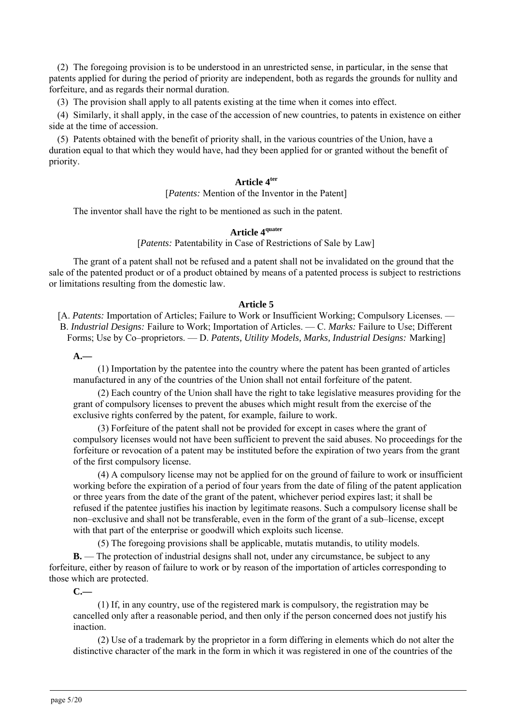(2) The foregoing provision is to be understood in an unrestricted sense, in particular, in the sense that patents applied for during the period of priority are independent, both as regards the grounds for nullity and forfeiture, and as regards their normal duration.

(3) The provision shall apply to all patents existing at the time when it comes into effect.

(4) Similarly, it shall apply, in the case of the accession of new countries, to patents in existence on either side at the time of accession.

(5) Patents obtained with the benefit of priority shall, in the various countries of the Union, have a duration equal to that which they would have, had they been applied for or granted without the benefit of priority.

## **Article 4ter**

#### [*Patents:* Mention of the Inventor in the Patent]

The inventor shall have the right to be mentioned as such in the patent.

## **Article 4quater**

[*Patents:* Patentability in Case of Restrictions of Sale by Law]

The grant of a patent shall not be refused and a patent shall not be invalidated on the ground that the sale of the patented product or of a product obtained by means of a patented process is subject to restrictions or limitations resulting from the domestic law.

## **Article 5**

[A. *Patents:* Importation of Articles; Failure to Work or Insufficient Working; Compulsory Licenses. — B. *Industrial Designs:* Failure to Work; Importation of Articles. — C. *Marks:* Failure to Use; Different Forms; Use by Co–proprietors. — D. *Patents, Utility Models, Marks, Industrial Designs:* Marking]

**A.—**

(1) Importation by the patentee into the country where the patent has been granted of articles manufactured in any of the countries of the Union shall not entail forfeiture of the patent.

(2) Each country of the Union shall have the right to take legislative measures providing for the grant of compulsory licenses to prevent the abuses which might result from the exercise of the exclusive rights conferred by the patent, for example, failure to work.

(3) Forfeiture of the patent shall not be provided for except in cases where the grant of compulsory licenses would not have been sufficient to prevent the said abuses. No proceedings for the forfeiture or revocation of a patent may be instituted before the expiration of two years from the grant of the first compulsory license.

(4) A compulsory license may not be applied for on the ground of failure to work or insufficient working before the expiration of a period of four years from the date of filing of the patent application or three years from the date of the grant of the patent, whichever period expires last; it shall be refused if the patentee justifies his inaction by legitimate reasons. Such a compulsory license shall be non–exclusive and shall not be transferable, even in the form of the grant of a sub–license, except with that part of the enterprise or goodwill which exploits such license.

(5) The foregoing provisions shall be applicable, mutatis mutandis, to utility models.

**B.** — The protection of industrial designs shall not, under any circumstance, be subject to any forfeiture, either by reason of failure to work or by reason of the importation of articles corresponding to those which are protected.

**C.—**

(1) If, in any country, use of the registered mark is compulsory, the registration may be cancelled only after a reasonable period, and then only if the person concerned does not justify his inaction.

(2) Use of a trademark by the proprietor in a form differing in elements which do not alter the distinctive character of the mark in the form in which it was registered in one of the countries of the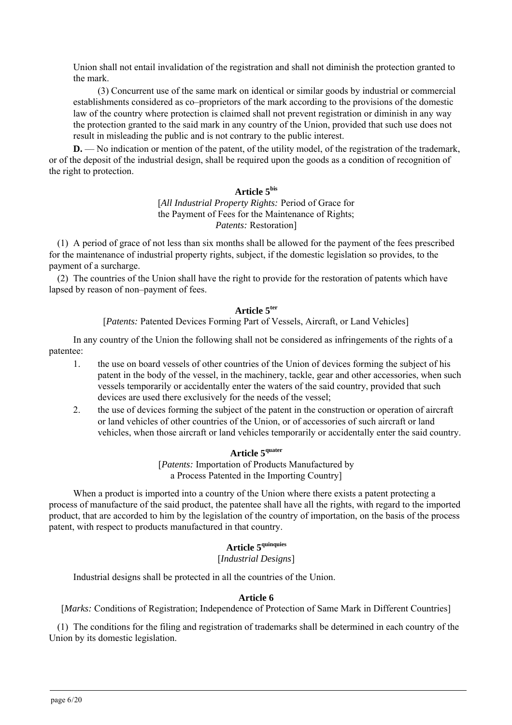Union shall not entail invalidation of the registration and shall not diminish the protection granted to the mark.

(3) Concurrent use of the same mark on identical or similar goods by industrial or commercial establishments considered as co–proprietors of the mark according to the provisions of the domestic law of the country where protection is claimed shall not prevent registration or diminish in any way the protection granted to the said mark in any country of the Union, provided that such use does not result in misleading the public and is not contrary to the public interest.

**D.** — No indication or mention of the patent, of the utility model, of the registration of the trademark, or of the deposit of the industrial design, shall be required upon the goods as a condition of recognition of the right to protection.

## **Article 5bis**

## [*All Industrial Property Rights:* Period of Grace for the Payment of Fees for the Maintenance of Rights; *Patents:* Restoration]

(1) A period of grace of not less than six months shall be allowed for the payment of the fees prescribed for the maintenance of industrial property rights, subject, if the domestic legislation so provides, to the payment of a surcharge.

(2) The countries of the Union shall have the right to provide for the restoration of patents which have lapsed by reason of non–payment of fees.

## **Article 5ter**

## [*Patents:* Patented Devices Forming Part of Vessels, Aircraft, or Land Vehicles]

In any country of the Union the following shall not be considered as infringements of the rights of a patentee:

- 1. the use on board vessels of other countries of the Union of devices forming the subject of his patent in the body of the vessel, in the machinery, tackle, gear and other accessories, when such vessels temporarily or accidentally enter the waters of the said country, provided that such devices are used there exclusively for the needs of the vessel;
- 2. the use of devices forming the subject of the patent in the construction or operation of aircraft or land vehicles of other countries of the Union, or of accessories of such aircraft or land vehicles, when those aircraft or land vehicles temporarily or accidentally enter the said country.

## **Article 5quater**

[*Patents:* Importation of Products Manufactured by a Process Patented in the Importing Country]

When a product is imported into a country of the Union where there exists a patent protecting a process of manufacture of the said product, the patentee shall have all the rights, with regard to the imported product, that are accorded to him by the legislation of the country of importation, on the basis of the process patent, with respect to products manufactured in that country.

## **Article 5quinquies**

#### [*Industrial Designs*]

Industrial designs shall be protected in all the countries of the Union.

#### **Article 6**

[*Marks:* Conditions of Registration; Independence of Protection of Same Mark in Different Countries]

(1) The conditions for the filing and registration of trademarks shall be determined in each country of the Union by its domestic legislation.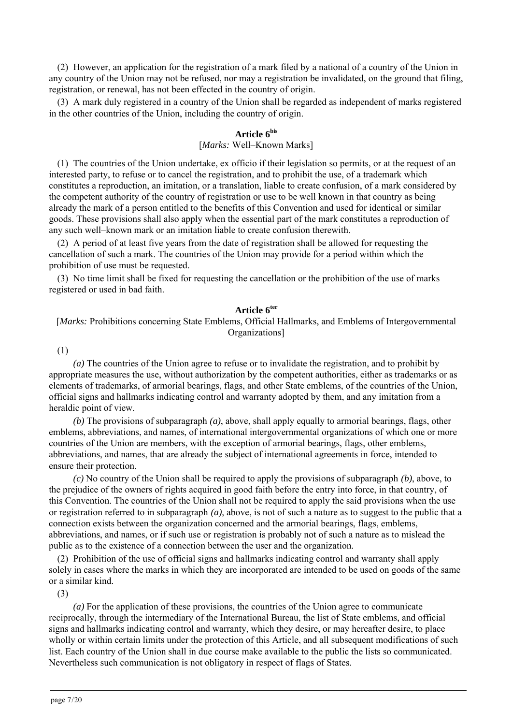(2) However, an application for the registration of a mark filed by a national of a country of the Union in any country of the Union may not be refused, nor may a registration be invalidated, on the ground that filing, registration, or renewal, has not been effected in the country of origin.

(3) A mark duly registered in a country of the Union shall be regarded as independent of marks registered in the other countries of the Union, including the country of origin.

## **Article 6bis**

## [*Marks:* Well–Known Marks]

(1) The countries of the Union undertake, ex officio if their legislation so permits, or at the request of an interested party, to refuse or to cancel the registration, and to prohibit the use, of a trademark which constitutes a reproduction, an imitation, or a translation, liable to create confusion, of a mark considered by the competent authority of the country of registration or use to be well known in that country as being already the mark of a person entitled to the benefits of this Convention and used for identical or similar goods. These provisions shall also apply when the essential part of the mark constitutes a reproduction of any such well–known mark or an imitation liable to create confusion therewith.

(2) A period of at least five years from the date of registration shall be allowed for requesting the cancellation of such a mark. The countries of the Union may provide for a period within which the prohibition of use must be requested.

(3) No time limit shall be fixed for requesting the cancellation or the prohibition of the use of marks registered or used in bad faith.

#### **Article 6ter**

[*Marks:* Prohibitions concerning State Emblems, Official Hallmarks, and Emblems of Intergovernmental Organizations]

(1)

*(a)* The countries of the Union agree to refuse or to invalidate the registration, and to prohibit by appropriate measures the use, without authorization by the competent authorities, either as trademarks or as elements of trademarks, of armorial bearings, flags, and other State emblems, of the countries of the Union, official signs and hallmarks indicating control and warranty adopted by them, and any imitation from a heraldic point of view.

*(b)* The provisions of subparagraph *(a)*, above, shall apply equally to armorial bearings, flags, other emblems, abbreviations, and names, of international intergovernmental organizations of which one or more countries of the Union are members, with the exception of armorial bearings, flags, other emblems, abbreviations, and names, that are already the subject of international agreements in force, intended to ensure their protection.

*(c)* No country of the Union shall be required to apply the provisions of subparagraph *(b)*, above, to the prejudice of the owners of rights acquired in good faith before the entry into force, in that country, of this Convention. The countries of the Union shall not be required to apply the said provisions when the use or registration referred to in subparagraph *(a)*, above, is not of such a nature as to suggest to the public that a connection exists between the organization concerned and the armorial bearings, flags, emblems, abbreviations, and names, or if such use or registration is probably not of such a nature as to mislead the public as to the existence of a connection between the user and the organization.

(2) Prohibition of the use of official signs and hallmarks indicating control and warranty shall apply solely in cases where the marks in which they are incorporated are intended to be used on goods of the same or a similar kind.

(3)

*(a)* For the application of these provisions, the countries of the Union agree to communicate reciprocally, through the intermediary of the International Bureau, the list of State emblems, and official signs and hallmarks indicating control and warranty, which they desire, or may hereafter desire, to place wholly or within certain limits under the protection of this Article, and all subsequent modifications of such list. Each country of the Union shall in due course make available to the public the lists so communicated. Nevertheless such communication is not obligatory in respect of flags of States.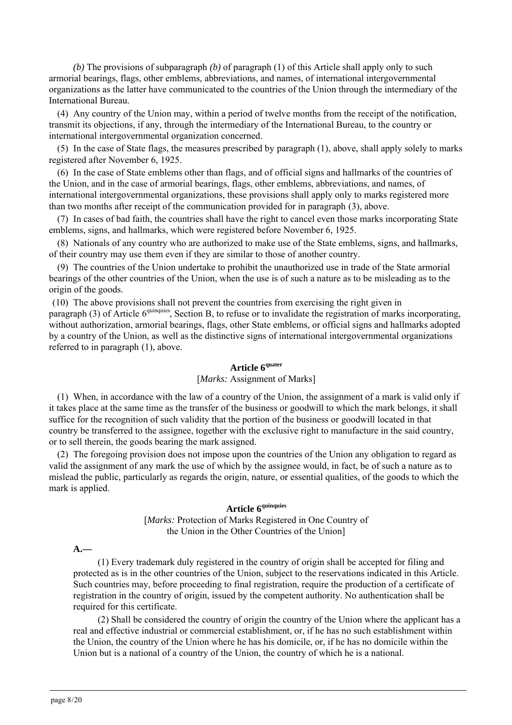*(b)* The provisions of subparagraph *(b)* of paragraph (1) of this Article shall apply only to such armorial bearings, flags, other emblems, abbreviations, and names, of international intergovernmental organizations as the latter have communicated to the countries of the Union through the intermediary of the International Bureau.

(4) Any country of the Union may, within a period of twelve months from the receipt of the notification, transmit its objections, if any, through the intermediary of the International Bureau, to the country or international intergovernmental organization concerned.

(5) In the case of State flags, the measures prescribed by paragraph (1), above, shall apply solely to marks registered after November 6, 1925.

(6) In the case of State emblems other than flags, and of official signs and hallmarks of the countries of the Union, and in the case of armorial bearings, flags, other emblems, abbreviations, and names, of international intergovernmental organizations, these provisions shall apply only to marks registered more than two months after receipt of the communication provided for in paragraph (3), above.

(7) In cases of bad faith, the countries shall have the right to cancel even those marks incorporating State emblems, signs, and hallmarks, which were registered before November 6, 1925.

(8) Nationals of any country who are authorized to make use of the State emblems, signs, and hallmarks, of their country may use them even if they are similar to those of another country.

(9) The countries of the Union undertake to prohibit the unauthorized use in trade of the State armorial bearings of the other countries of the Union, when the use is of such a nature as to be misleading as to the origin of the goods.

(10) The above provisions shall not prevent the countries from exercising the right given in paragraph (3) of Article  $6<sup>quinquies</sup>$ , Section B, to refuse or to invalidate the registration of marks incorporating, without authorization, armorial bearings, flags, other State emblems, or official signs and hallmarks adopted by a country of the Union, as well as the distinctive signs of international intergovernmental organizations referred to in paragraph (1), above.

## **Article 6quater**

### [*Marks:* Assignment of Marks]

(1) When, in accordance with the law of a country of the Union, the assignment of a mark is valid only if it takes place at the same time as the transfer of the business or goodwill to which the mark belongs, it shall suffice for the recognition of such validity that the portion of the business or goodwill located in that country be transferred to the assignee, together with the exclusive right to manufacture in the said country, or to sell therein, the goods bearing the mark assigned.

(2) The foregoing provision does not impose upon the countries of the Union any obligation to regard as valid the assignment of any mark the use of which by the assignee would, in fact, be of such a nature as to mislead the public, particularly as regards the origin, nature, or essential qualities, of the goods to which the mark is applied.

## **Article 6quinquies**

[*Marks:* Protection of Marks Registered in One Country of the Union in the Other Countries of the Union]

**A.—**

(1) Every trademark duly registered in the country of origin shall be accepted for filing and protected as is in the other countries of the Union, subject to the reservations indicated in this Article. Such countries may, before proceeding to final registration, require the production of a certificate of registration in the country of origin, issued by the competent authority. No authentication shall be required for this certificate.

(2) Shall be considered the country of origin the country of the Union where the applicant has a real and effective industrial or commercial establishment, or, if he has no such establishment within the Union, the country of the Union where he has his domicile, or, if he has no domicile within the Union but is a national of a country of the Union, the country of which he is a national.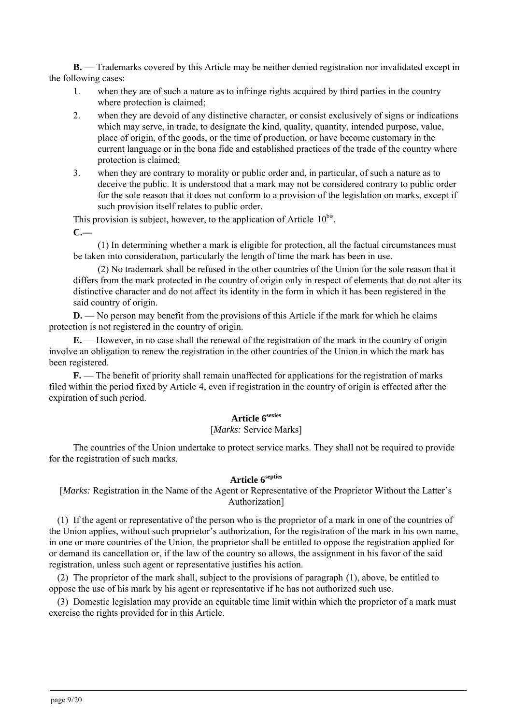**B.** — Trademarks covered by this Article may be neither denied registration nor invalidated except in the following cases:

- 1. when they are of such a nature as to infringe rights acquired by third parties in the country where protection is claimed;
- 2. when they are devoid of any distinctive character, or consist exclusively of signs or indications which may serve, in trade, to designate the kind, quality, quantity, intended purpose, value, place of origin, of the goods, or the time of production, or have become customary in the current language or in the bona fide and established practices of the trade of the country where protection is claimed;
- 3. when they are contrary to morality or public order and, in particular, of such a nature as to deceive the public. It is understood that a mark may not be considered contrary to public order for the sole reason that it does not conform to a provision of the legislation on marks, except if such provision itself relates to public order.

This provision is subject, however, to the application of Article  $10<sup>bis</sup>$ .

**C.—**

(1) In determining whether a mark is eligible for protection, all the factual circumstances must be taken into consideration, particularly the length of time the mark has been in use.

(2) No trademark shall be refused in the other countries of the Union for the sole reason that it differs from the mark protected in the country of origin only in respect of elements that do not alter its distinctive character and do not affect its identity in the form in which it has been registered in the said country of origin.

**D.** — No person may benefit from the provisions of this Article if the mark for which he claims protection is not registered in the country of origin.

**E.** — However, in no case shall the renewal of the registration of the mark in the country of origin involve an obligation to renew the registration in the other countries of the Union in which the mark has been registered.

**F.** — The benefit of priority shall remain unaffected for applications for the registration of marks filed within the period fixed by Article 4, even if registration in the country of origin is effected after the expiration of such period.

## **Article 6sexies**

## [*Marks:* Service Marks]

The countries of the Union undertake to protect service marks. They shall not be required to provide for the registration of such marks.

## **Article 6septies**

[*Marks: Registration in the Name of the Agent or Representative of the Proprietor Without the Latter's* Authorization]

(1) If the agent or representative of the person who is the proprietor of a mark in one of the countries of the Union applies, without such proprietor's authorization, for the registration of the mark in his own name, in one or more countries of the Union, the proprietor shall be entitled to oppose the registration applied for or demand its cancellation or, if the law of the country so allows, the assignment in his favor of the said registration, unless such agent or representative justifies his action.

(2) The proprietor of the mark shall, subject to the provisions of paragraph (1), above, be entitled to oppose the use of his mark by his agent or representative if he has not authorized such use.

(3) Domestic legislation may provide an equitable time limit within which the proprietor of a mark must exercise the rights provided for in this Article.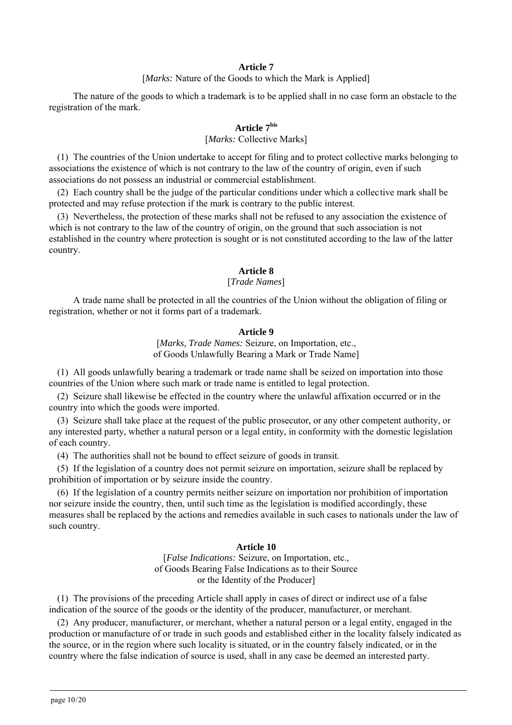#### [*Marks*: Nature of the Goods to which the Mark is Applied]

The nature of the goods to which a trademark is to be applied shall in no case form an obstacle to the registration of the mark.

## **Article 7bis**

#### [*Marks:* Collective Marks]

(1) The countries of the Union undertake to accept for filing and to protect collective marks belonging to associations the existence of which is not contrary to the law of the country of origin, even if such associations do not possess an industrial or commercial establishment.

(2) Each country shall be the judge of the particular conditions under which a collective mark shall be protected and may refuse protection if the mark is contrary to the public interest.

(3) Nevertheless, the protection of these marks shall not be refused to any association the existence of which is not contrary to the law of the country of origin, on the ground that such association is not established in the country where protection is sought or is not constituted according to the law of the latter country.

#### **Article 8**

## [*Trade Names*]

A trade name shall be protected in all the countries of the Union without the obligation of filing or registration, whether or not it forms part of a trademark.

#### **Article 9**

#### [*Marks, Trade Names:* Seizure, on Importation, etc., of Goods Unlawfully Bearing a Mark or Trade Name]

(1) All goods unlawfully bearing a trademark or trade name shall be seized on importation into those countries of the Union where such mark or trade name is entitled to legal protection.

(2) Seizure shall likewise be effected in the country where the unlawful affixation occurred or in the country into which the goods were imported.

(3) Seizure shall take place at the request of the public prosecutor, or any other competent authority, or any interested party, whether a natural person or a legal entity, in conformity with the domestic legislation of each country.

(4) The authorities shall not be bound to effect seizure of goods in transit.

(5) If the legislation of a country does not permit seizure on importation, seizure shall be replaced by prohibition of importation or by seizure inside the country.

(6) If the legislation of a country permits neither seizure on importation nor prohibition of importation nor seizure inside the country, then, until such time as the legislation is modified accordingly, these measures shall be replaced by the actions and remedies available in such cases to nationals under the law of such country.

## **Article 10**

[*False Indications:* Seizure, on Importation, etc., of Goods Bearing False Indications as to their Source or the Identity of the Producer]

(1) The provisions of the preceding Article shall apply in cases of direct or indirect use of a false indication of the source of the goods or the identity of the producer, manufacturer, or merchant.

(2) Any producer, manufacturer, or merchant, whether a natural person or a legal entity, engaged in the production or manufacture of or trade in such goods and established either in the locality falsely indicated as the source, or in the region where such locality is situated, or in the country falsely indicated, or in the country where the false indication of source is used, shall in any case be deemed an interested party.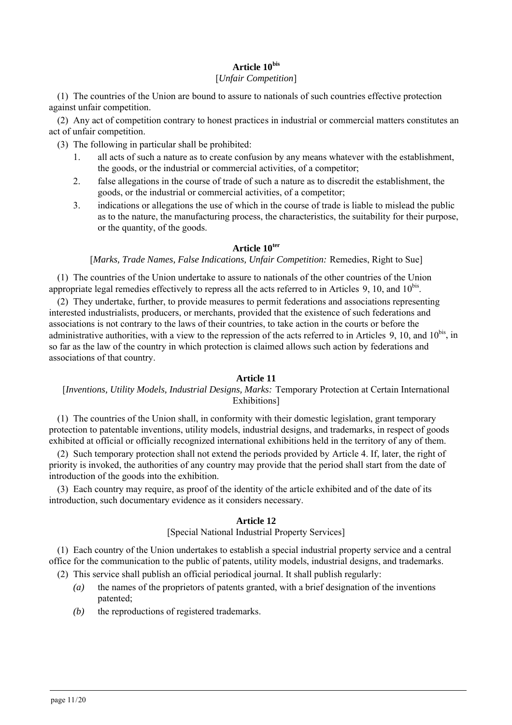## **Article 10bis**

## [*Unfair Competition*]

(1) The countries of the Union are bound to assure to nationals of such countries effective protection against unfair competition.

(2) Any act of competition contrary to honest practices in industrial or commercial matters constitutes an act of unfair competition.

(3) The following in particular shall be prohibited:

- 1. all acts of such a nature as to create confusion by any means whatever with the establishment, the goods, or the industrial or commercial activities, of a competitor;
- 2. false allegations in the course of trade of such a nature as to discredit the establishment, the goods, or the industrial or commercial activities, of a competitor;
- 3. indications or allegations the use of which in the course of trade is liable to mislead the public as to the nature, the manufacturing process, the characteristics, the suitability for their purpose, or the quantity, of the goods.

## **Article 10ter**

[*Marks, Trade Names, False Indications, Unfair Competition:* Remedies, Right to Sue]

(1) The countries of the Union undertake to assure to nationals of the other countries of the Union appropriate legal remedies effectively to repress all the acts referred to in Articles 9, 10, and  $10^{\text{bis}}$ .

(2) They undertake, further, to provide measures to permit federations and associations representing interested industrialists, producers, or merchants, provided that the existence of such federations and associations is not contrary to the laws of their countries, to take action in the courts or before the administrative authorities, with a view to the repression of the acts referred to in Articles 9, 10, and  $10^{bis}$ , in so far as the law of the country in which protection is claimed allows such action by federations and associations of that country.

## **Article 11**

## [*Inventions, Utility Models, Industrial Designs, Marks:* Temporary Protection at Certain International Exhibitions]

(1) The countries of the Union shall, in conformity with their domestic legislation, grant temporary protection to patentable inventions, utility models, industrial designs, and trademarks, in respect of goods exhibited at official or officially recognized international exhibitions held in the territory of any of them.

(2) Such temporary protection shall not extend the periods provided by Article 4. If, later, the right of priority is invoked, the authorities of any country may provide that the period shall start from the date of introduction of the goods into the exhibition.

(3) Each country may require, as proof of the identity of the article exhibited and of the date of its introduction, such documentary evidence as it considers necessary.

## **Article 12**

## [Special National Industrial Property Services]

(1) Each country of the Union undertakes to establish a special industrial property service and a central office for the communication to the public of patents, utility models, industrial designs, and trademarks.

- (2) This service shall publish an official periodical journal. It shall publish regularly:
	- *(a)* the names of the proprietors of patents granted, with a brief designation of the inventions patented;
	- *(b)* the reproductions of registered trademarks.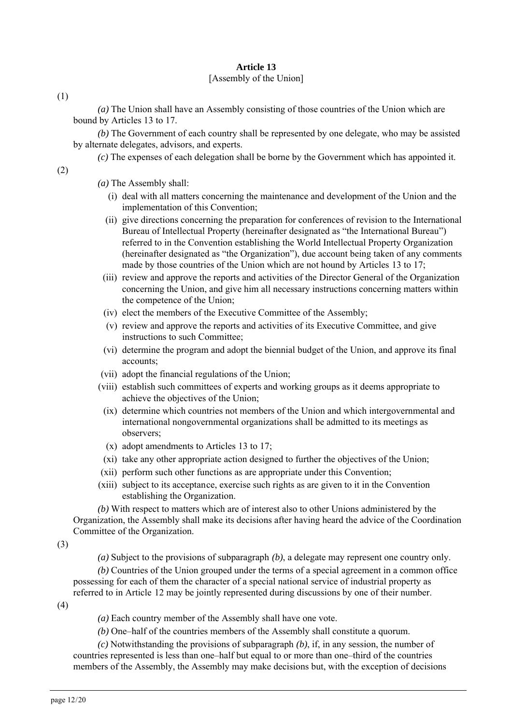## [Assembly of the Union]

(1)

*(a)* The Union shall have an Assembly consisting of those countries of the Union which are bound by Articles 13 to 17.

*(b)* The Government of each country shall be represented by one delegate, who may be assisted by alternate delegates, advisors, and experts.

*(c)* The expenses of each delegation shall be borne by the Government which has appointed it.

(2)

*(a)* The Assembly shall:

- (i) deal with all matters concerning the maintenance and development of the Union and the implementation of this Convention;
- (ii) give directions concerning the preparation for conferences of revision to the International Bureau of Intellectual Property (hereinafter designated as "the International Bureau") referred to in the Convention establishing the World Intellectual Property Organization (hereinafter designated as "the Organization"), due account being taken of any comments made by those countries of the Union which are not hound by Articles 13 to 17;
- (iii) review and approve the reports and activities of the Director General of the Organization concerning the Union, and give him all necessary instructions concerning matters within the competence of the Union;
- (iv) elect the members of the Executive Committee of the Assembly;
- (v) review and approve the reports and activities of its Executive Committee, and give instructions to such Committee;
- (vi) determine the program and adopt the biennial budget of the Union, and approve its final accounts;
- (vii) adopt the financial regulations of the Union;
- (viii) establish such committees of experts and working groups as it deems appropriate to achieve the objectives of the Union;
	- (ix) determine which countries not members of the Union and which intergovernmental and international nongovernmental organizations shall be admitted to its meetings as observers;
	- (x) adopt amendments to Articles 13 to 17;
- (xi) take any other appropriate action designed to further the objectives of the Union;
- (xii) perform such other functions as are appropriate under this Convention;
- (xiii) subject to its acceptance, exercise such rights as are given to it in the Convention establishing the Organization.

*(b)* With respect to matters which are of interest also to other Unions administered by the Organization, the Assembly shall make its decisions after having heard the advice of the Coordination Committee of the Organization.

(3)

*(a)* Subject to the provisions of subparagraph *(b)*, a delegate may represent one country only.

*(b)* Countries of the Union grouped under the terms of a special agreement in a common office possessing for each of them the character of a special national service of industrial property as referred to in Article 12 may be jointly represented during discussions by one of their number.

(4)

*(a)* Each country member of the Assembly shall have one vote.

*(b)* One–half of the countries members of the Assembly shall constitute a quorum.

*(c)* Notwithstanding the provisions of subparagraph *(b)*, if, in any session, the number of countries represented is less than one–half but equal to or more than one–third of the countries members of the Assembly, the Assembly may make decisions but, with the exception of decisions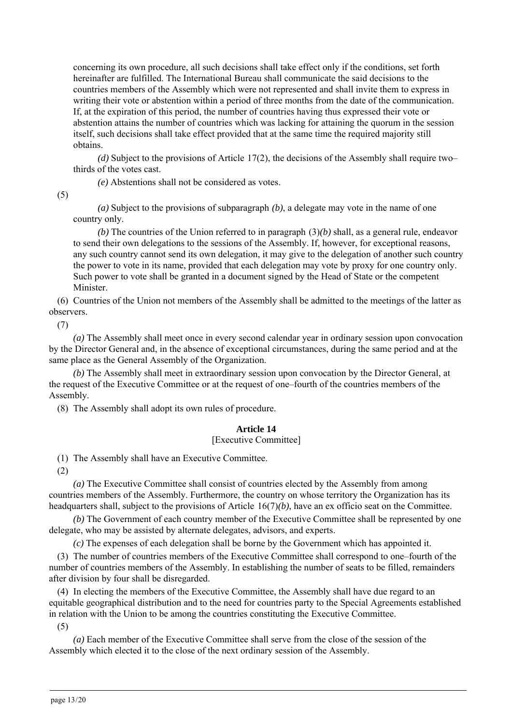concerning its own procedure, all such decisions shall take effect only if the conditions, set forth hereinafter are fulfilled. The International Bureau shall communicate the said decisions to the countries members of the Assembly which were not represented and shall invite them to express in writing their vote or abstention within a period of three months from the date of the communication. If, at the expiration of this period, the number of countries having thus expressed their vote or abstention attains the number of countries which was lacking for attaining the quorum in the session itself, such decisions shall take effect provided that at the same time the required majority still obtains.

*(d)* Subject to the provisions of Article 17(2), the decisions of the Assembly shall require two– thirds of the votes cast.

*(e)* Abstentions shall not be considered as votes.

(5)

*(a)* Subject to the provisions of subparagraph *(b)*, a delegate may vote in the name of one country only.

*(b)* The countries of the Union referred to in paragraph (3)*(b)* shall, as a general rule, endeavor to send their own delegations to the sessions of the Assembly. If, however, for exceptional reasons, any such country cannot send its own delegation, it may give to the delegation of another such country the power to vote in its name, provided that each delegation may vote by proxy for one country only. Such power to vote shall be granted in a document signed by the Head of State or the competent Minister.

(6) Countries of the Union not members of the Assembly shall be admitted to the meetings of the latter as observers.

(7)

*(a)* The Assembly shall meet once in every second calendar year in ordinary session upon convocation by the Director General and, in the absence of exceptional circumstances, during the same period and at the same place as the General Assembly of the Organization.

*(b)* The Assembly shall meet in extraordinary session upon convocation by the Director General, at the request of the Executive Committee or at the request of one–fourth of the countries members of the Assembly.

(8) The Assembly shall adopt its own rules of procedure.

## **Article 14**

## [Executive Committee]

(1) The Assembly shall have an Executive Committee.

(2)

*(a)* The Executive Committee shall consist of countries elected by the Assembly from among countries members of the Assembly. Furthermore, the country on whose territory the Organization has its headquarters shall, subject to the provisions of Article 16(7)*(b)*, have an ex officio seat on the Committee.

*(b)* The Government of each country member of the Executive Committee shall be represented by one delegate, who may be assisted by alternate delegates, advisors, and experts.

*(c)* The expenses of each delegation shall be borne by the Government which has appointed it.

(3) The number of countries members of the Executive Committee shall correspond to one–fourth of the number of countries members of the Assembly. In establishing the number of seats to be filled, remainders after division by four shall be disregarded.

(4) In electing the members of the Executive Committee, the Assembly shall have due regard to an equitable geographical distribution and to the need for countries party to the Special Agreements established in relation with the Union to be among the countries constituting the Executive Committee.

(5)

*(a)* Each member of the Executive Committee shall serve from the close of the session of the Assembly which elected it to the close of the next ordinary session of the Assembly.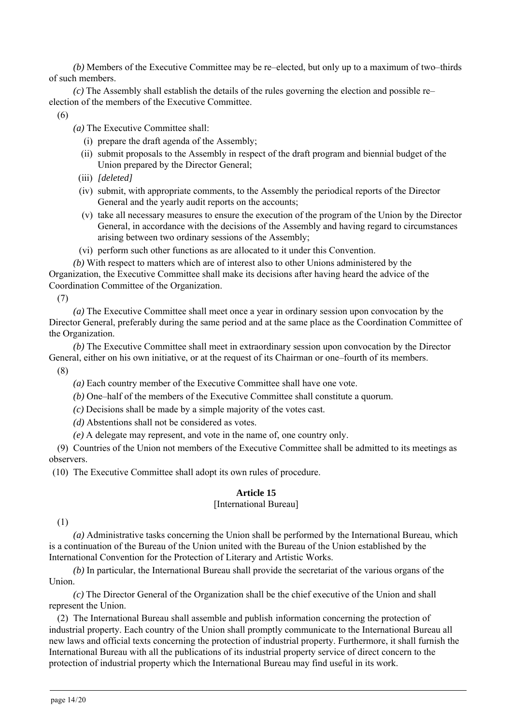*(b)* Members of the Executive Committee may be re–elected, but only up to a maximum of two–thirds of such members.

*(c)* The Assembly shall establish the details of the rules governing the election and possible re– election of the members of the Executive Committee.

(6)

*(a)* The Executive Committee shall:

- (i) prepare the draft agenda of the Assembly;
- (ii) submit proposals to the Assembly in respect of the draft program and biennial budget of the Union prepared by the Director General;
- (iii) *[deleted]*
- (iv) submit, with appropriate comments, to the Assembly the periodical reports of the Director General and the yearly audit reports on the accounts;
- (v) take all necessary measures to ensure the execution of the program of the Union by the Director General, in accordance with the decisions of the Assembly and having regard to circumstances arising between two ordinary sessions of the Assembly;
- (vi) perform such other functions as are allocated to it under this Convention.

*(b)* With respect to matters which are of interest also to other Unions administered by the Organization, the Executive Committee shall make its decisions after having heard the advice of the Coordination Committee of the Organization.

(7)

*(a)* The Executive Committee shall meet once a year in ordinary session upon convocation by the Director General, preferably during the same period and at the same place as the Coordination Committee of the Organization.

*(b)* The Executive Committee shall meet in extraordinary session upon convocation by the Director General, either on his own initiative, or at the request of its Chairman or one–fourth of its members.

(8)

*(a)* Each country member of the Executive Committee shall have one vote.

*(b)* One–half of the members of the Executive Committee shall constitute a quorum.

*(c)* Decisions shall be made by a simple majority of the votes cast.

*(d)* Abstentions shall not be considered as votes.

*(e)* A delegate may represent, and vote in the name of, one country only.

(9) Countries of the Union not members of the Executive Committee shall be admitted to its meetings as observers.

(10) The Executive Committee shall adopt its own rules of procedure.

## **Article 15**

## [International Bureau]

(1)

*(a)* Administrative tasks concerning the Union shall be performed by the International Bureau, which is a continuation of the Bureau of the Union united with the Bureau of the Union established by the International Convention for the Protection of Literary and Artistic Works.

*(b)* In particular, the International Bureau shall provide the secretariat of the various organs of the Union.

*(c)* The Director General of the Organization shall be the chief executive of the Union and shall represent the Union.

(2) The International Bureau shall assemble and publish information concerning the protection of industrial property. Each country of the Union shall promptly communicate to the International Bureau all new laws and official texts concerning the protection of industrial property. Furthermore, it shall furnish the International Bureau with all the publications of its industrial property service of direct concern to the protection of industrial property which the International Bureau may find useful in its work.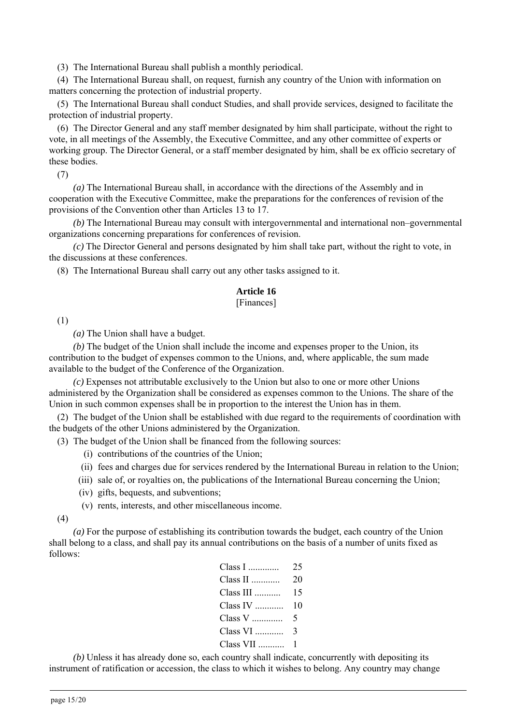(3) The International Bureau shall publish a monthly periodical.

(4) The International Bureau shall, on request, furnish any country of the Union with information on matters concerning the protection of industrial property.

(5) The International Bureau shall conduct Studies, and shall provide services, designed to facilitate the protection of industrial property.

(6) The Director General and any staff member designated by him shall participate, without the right to vote, in all meetings of the Assembly, the Executive Committee, and any other committee of experts or working group. The Director General, or a staff member designated by him, shall be ex officio secretary of these bodies.

(7)

*(a)* The International Bureau shall, in accordance with the directions of the Assembly and in cooperation with the Executive Committee, make the preparations for the conferences of revision of the provisions of the Convention other than Articles 13 to 17.

*(b)* The International Bureau may consult with intergovernmental and international non–governmental organizations concerning preparations for conferences of revision.

*(c)* The Director General and persons designated by him shall take part, without the right to vote, in the discussions at these conferences.

(8) The International Bureau shall carry out any other tasks assigned to it.

## **Article 16**

#### [Finances]

(1)

*(a)* The Union shall have a budget.

*(b)* The budget of the Union shall include the income and expenses proper to the Union, its contribution to the budget of expenses common to the Unions, and, where applicable, the sum made available to the budget of the Conference of the Organization.

*(c)* Expenses not attributable exclusively to the Union but also to one or more other Unions administered by the Organization shall be considered as expenses common to the Unions. The share of the Union in such common expenses shall be in proportion to the interest the Union has in them.

(2) The budget of the Union shall be established with due regard to the requirements of coordination with the budgets of the other Unions administered by the Organization.

(3) The budget of the Union shall be financed from the following sources:

- (i) contributions of the countries of the Union;
- (ii) fees and charges due for services rendered by the International Bureau in relation to the Union;
- (iii) sale of, or royalties on, the publications of the International Bureau concerning the Union;
- (iv) gifts, bequests, and subventions;
- (v) rents, interests, and other miscellaneous income.

(4)

*(a)* For the purpose of establishing its contribution towards the budget, each country of the Union shall belong to a class, and shall pay its annual contributions on the basis of a number of units fixed as follows:

| Class I     | 25           |
|-------------|--------------|
|             | 20           |
| $Class III$ | 15           |
| $Class IV$  | 10           |
| $Class V$   | 5            |
| Class VI    | 3            |
| $Class VII$ | $\mathbf{1}$ |
|             |              |

*(b)* Unless it has already done so, each country shall indicate, concurrently with depositing its instrument of ratification or accession, the class to which it wishes to belong. Any country may change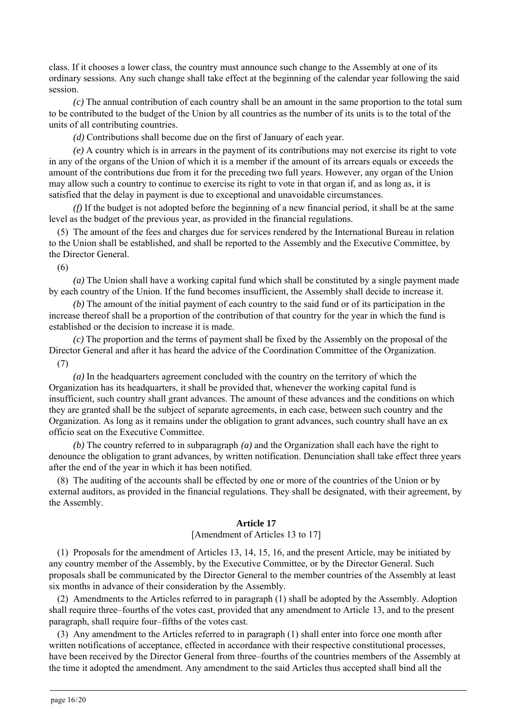class. If it chooses a lower class, the country must announce such change to the Assembly at one of its ordinary sessions. Any such change shall take effect at the beginning of the calendar year following the said session.

*(c)* The annual contribution of each country shall be an amount in the same proportion to the total sum to be contributed to the budget of the Union by all countries as the number of its units is to the total of the units of all contributing countries.

*(d)* Contributions shall become due on the first of January of each year.

*(e)* A country which is in arrears in the payment of its contributions may not exercise its right to vote in any of the organs of the Union of which it is a member if the amount of its arrears equals or exceeds the amount of the contributions due from it for the preceding two full years. However, any organ of the Union may allow such a country to continue to exercise its right to vote in that organ if, and as long as, it is satisfied that the delay in payment is due to exceptional and unavoidable circumstances.

*(f)* If the budget is not adopted before the beginning of a new financial period, it shall be at the same level as the budget of the previous year, as provided in the financial regulations.

(5) The amount of the fees and charges due for services rendered by the International Bureau in relation to the Union shall be established, and shall be reported to the Assembly and the Executive Committee, by the Director General.

 $(6)$ 

*(a)* The Union shall have a working capital fund which shall be constituted by a single payment made by each country of the Union. If the fund becomes insufficient, the Assembly shall decide to increase it.

*(b)* The amount of the initial payment of each country to the said fund or of its participation in the increase thereof shall be a proportion of the contribution of that country for the year in which the fund is established or the decision to increase it is made.

*(c)* The proportion and the terms of payment shall be fixed by the Assembly on the proposal of the Director General and after it has heard the advice of the Coordination Committee of the Organization.

(7)

*(a)* In the headquarters agreement concluded with the country on the territory of which the Organization has its headquarters, it shall be provided that, whenever the working capital fund is insufficient, such country shall grant advances. The amount of these advances and the conditions on which they are granted shall be the subject of separate agreements, in each case, between such country and the Organization. As long as it remains under the obligation to grant advances, such country shall have an ex officio seat on the Executive Committee.

*(b)* The country referred to in subparagraph *(a)* and the Organization shall each have the right to denounce the obligation to grant advances, by written notification. Denunciation shall take effect three years after the end of the year in which it has been notified.

(8) The auditing of the accounts shall be effected by one or more of the countries of the Union or by external auditors, as provided in the financial regulations. They shall be designated, with their agreement, by the Assembly.

#### **Article 17**

## [Amendment of Articles 13 to 17]

(1) Proposals for the amendment of Articles 13, 14, 15, 16, and the present Article, may be initiated by any country member of the Assembly, by the Executive Committee, or by the Director General. Such proposals shall be communicated by the Director General to the member countries of the Assembly at least six months in advance of their consideration by the Assembly.

(2) Amendments to the Articles referred to in paragraph (1) shall be adopted by the Assembly. Adoption shall require three–fourths of the votes cast, provided that any amendment to Article 13, and to the present paragraph, shall require four–fifths of the votes cast.

(3) Any amendment to the Articles referred to in paragraph (1) shall enter into force one month after written notifications of acceptance, effected in accordance with their respective constitutional processes, have been received by the Director General from three–fourths of the countries members of the Assembly at the time it adopted the amendment. Any amendment to the said Articles thus accepted shall bind all the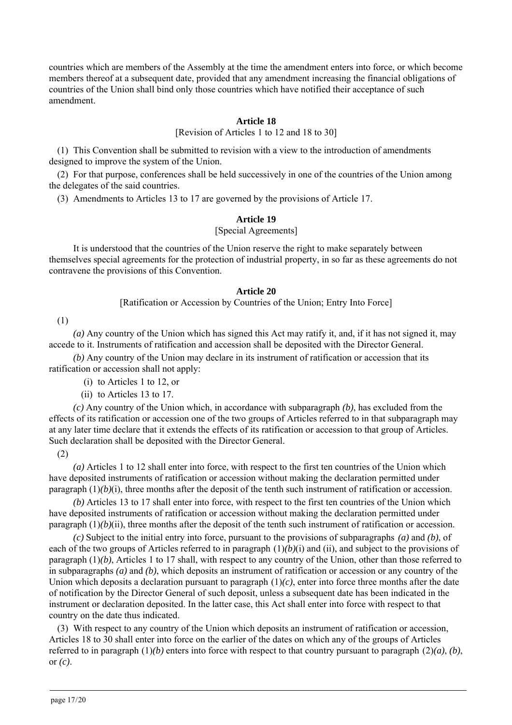countries which are members of the Assembly at the time the amendment enters into force, or which become members thereof at a subsequent date, provided that any amendment increasing the financial obligations of countries of the Union shall bind only those countries which have notified their acceptance of such amendment.

#### **Article 18**

#### [Revision of Articles 1 to 12 and 18 to 30]

(1) This Convention shall be submitted to revision with a view to the introduction of amendments designed to improve the system of the Union.

(2) For that purpose, conferences shall be held successively in one of the countries of the Union among the delegates of the said countries.

(3) Amendments to Articles 13 to 17 are governed by the provisions of Article 17.

#### **Article 19**

## [Special Agreements]

It is understood that the countries of the Union reserve the right to make separately between themselves special agreements for the protection of industrial property, in so far as these agreements do not contravene the provisions of this Convention.

#### **Article 20**

[Ratification or Accession by Countries of the Union; Entry Into Force]

(1)

*(a)* Any country of the Union which has signed this Act may ratify it, and, if it has not signed it, may accede to it. Instruments of ratification and accession shall be deposited with the Director General.

*(b)* Any country of the Union may declare in its instrument of ratification or accession that its ratification or accession shall not apply:

(i) to Articles 1 to 12, or

(ii) to Articles 13 to 17.

*(c)* Any country of the Union which, in accordance with subparagraph *(b)*, has excluded from the effects of its ratification or accession one of the two groups of Articles referred to in that subparagraph may at any later time declare that it extends the effects of its ratification or accession to that group of Articles. Such declaration shall be deposited with the Director General.

(2)

*(a)* Articles 1 to 12 shall enter into force, with respect to the first ten countries of the Union which have deposited instruments of ratification or accession without making the declaration permitted under paragraph  $(1)(b)(i)$ , three months after the deposit of the tenth such instrument of ratification or accession.

*(b)* Articles 13 to 17 shall enter into force, with respect to the first ten countries of the Union which have deposited instruments of ratification or accession without making the declaration permitted under paragraph  $(1)/b$ *(ii)*, three months after the deposit of the tenth such instrument of ratification or accession.

*(c)* Subject to the initial entry into force, pursuant to the provisions of subparagraphs *(a)* and *(b)*, of each of the two groups of Articles referred to in paragraph (1)*(b)*(i) and (ii), and subject to the provisions of paragraph (1)*(b)*, Articles 1 to 17 shall, with respect to any country of the Union, other than those referred to in subparagraphs *(a)* and *(b)*, which deposits an instrument of ratification or accession or any country of the Union which deposits a declaration pursuant to paragraph  $(1)(c)$ , enter into force three months after the date of notification by the Director General of such deposit, unless a subsequent date has been indicated in the instrument or declaration deposited. In the latter case, this Act shall enter into force with respect to that country on the date thus indicated.

(3) With respect to any country of the Union which deposits an instrument of ratification or accession, Articles 18 to 30 shall enter into force on the earlier of the dates on which any of the groups of Articles referred to in paragraph (1)*(b)* enters into force with respect to that country pursuant to paragraph (2)*(a)*, *(b)*, or *(c)*.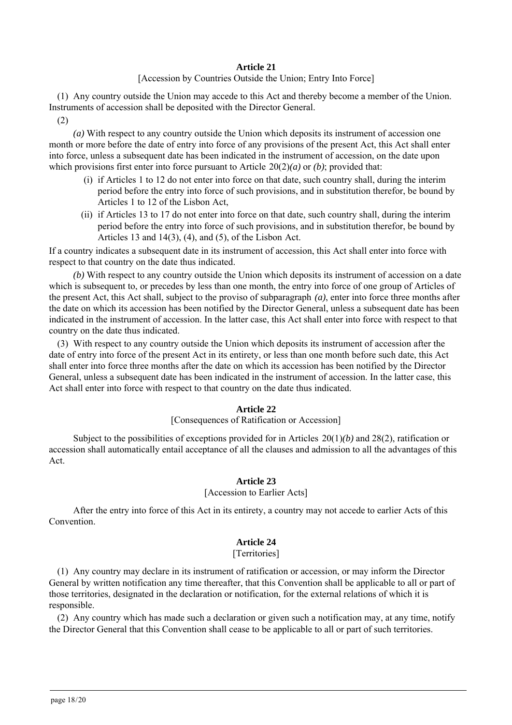## [Accession by Countries Outside the Union; Entry Into Force]

(1) Any country outside the Union may accede to this Act and thereby become a member of the Union. Instruments of accession shall be deposited with the Director General.

(2)

*(a)* With respect to any country outside the Union which deposits its instrument of accession one month or more before the date of entry into force of any provisions of the present Act, this Act shall enter into force, unless a subsequent date has been indicated in the instrument of accession, on the date upon which provisions first enter into force pursuant to Article 20(2)*(a)* or *(b)*; provided that:

- (i) if Articles 1 to 12 do not enter into force on that date, such country shall, during the interim period before the entry into force of such provisions, and in substitution therefor, be bound by Articles 1 to 12 of the Lisbon Act,
- (ii) if Articles 13 to 17 do not enter into force on that date, such country shall, during the interim period before the entry into force of such provisions, and in substitution therefor, be bound by Articles 13 and  $14(3)$ ,  $(4)$ , and  $(5)$ , of the Lisbon Act.

If a country indicates a subsequent date in its instrument of accession, this Act shall enter into force with respect to that country on the date thus indicated.

*(b)* With respect to any country outside the Union which deposits its instrument of accession on a date which is subsequent to, or precedes by less than one month, the entry into force of one group of Articles of the present Act, this Act shall, subject to the proviso of subparagraph *(a)*, enter into force three months after the date on which its accession has been notified by the Director General, unless a subsequent date has been indicated in the instrument of accession. In the latter case, this Act shall enter into force with respect to that country on the date thus indicated.

(3) With respect to any country outside the Union which deposits its instrument of accession after the date of entry into force of the present Act in its entirety, or less than one month before such date, this Act shall enter into force three months after the date on which its accession has been notified by the Director General, unless a subsequent date has been indicated in the instrument of accession. In the latter case, this Act shall enter into force with respect to that country on the date thus indicated.

#### **Article 22**

## [Consequences of Ratification or Accession]

Subject to the possibilities of exceptions provided for in Articles 20(1)*(b)* and 28(2), ratification or accession shall automatically entail acceptance of all the clauses and admission to all the advantages of this Act.

#### **Article 23**

#### [Accession to Earlier Acts]

After the entry into force of this Act in its entirety, a country may not accede to earlier Acts of this Convention.

## **Article 24**

## [Territories]

(1) Any country may declare in its instrument of ratification or accession, or may inform the Director General by written notification any time thereafter, that this Convention shall be applicable to all or part of those territories, designated in the declaration or notification, for the external relations of which it is responsible.

(2) Any country which has made such a declaration or given such a notification may, at any time, notify the Director General that this Convention shall cease to be applicable to all or part of such territories.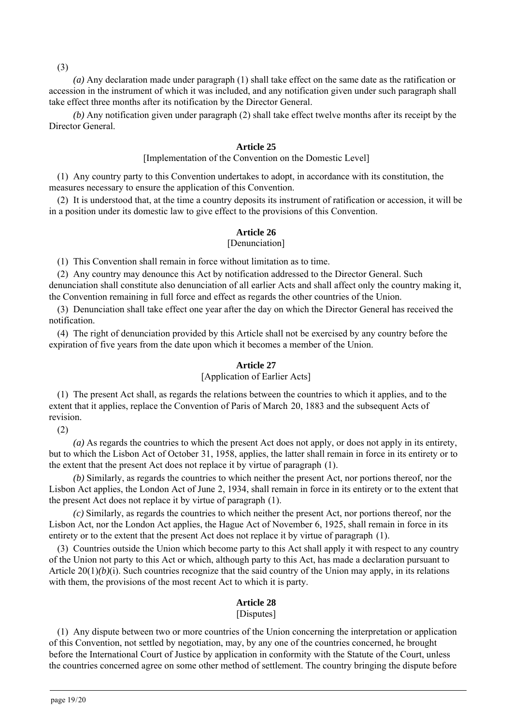(3)

*(a)* Any declaration made under paragraph (1) shall take effect on the same date as the ratification or accession in the instrument of which it was included, and any notification given under such paragraph shall take effect three months after its notification by the Director General.

*(b)* Any notification given under paragraph (2) shall take effect twelve months after its receipt by the Director General.

#### **Article 25**

## [Implementation of the Convention on the Domestic Level]

(1) Any country party to this Convention undertakes to adopt, in accordance with its constitution, the measures necessary to ensure the application of this Convention.

(2) It is understood that, at the time a country deposits its instrument of ratification or accession, it will be in a position under its domestic law to give effect to the provisions of this Convention.

## **Article 26**

## [Denunciation]

(1) This Convention shall remain in force without limitation as to time.

(2) Any country may denounce this Act by notification addressed to the Director General. Such denunciation shall constitute also denunciation of all earlier Acts and shall affect only the country making it, the Convention remaining in full force and effect as regards the other countries of the Union.

(3) Denunciation shall take effect one year after the day on which the Director General has received the notification.

(4) The right of denunciation provided by this Article shall not be exercised by any country before the expiration of five years from the date upon which it becomes a member of the Union.

## **Article 27**

## [Application of Earlier Acts]

(1) The present Act shall, as regards the relations between the countries to which it applies, and to the extent that it applies, replace the Convention of Paris of March 20, 1883 and the subsequent Acts of revision.

(2)

*(a)* As regards the countries to which the present Act does not apply, or does not apply in its entirety, but to which the Lisbon Act of October 31, 1958, applies, the latter shall remain in force in its entirety or to the extent that the present Act does not replace it by virtue of paragraph (1).

*(b)* Similarly, as regards the countries to which neither the present Act, nor portions thereof, nor the Lisbon Act applies, the London Act of June 2, 1934, shall remain in force in its entirety or to the extent that the present Act does not replace it by virtue of paragraph (1).

*(c)* Similarly, as regards the countries to which neither the present Act, nor portions thereof, nor the Lisbon Act, nor the London Act applies, the Hague Act of November 6, 1925, shall remain in force in its entirety or to the extent that the present Act does not replace it by virtue of paragraph (1).

(3) Countries outside the Union which become party to this Act shall apply it with respect to any country of the Union not party to this Act or which, although party to this Act, has made a declaration pursuant to Article  $20(1)(b)(i)$ . Such countries recognize that the said country of the Union may apply, in its relations with them, the provisions of the most recent Act to which it is party.

## **Article 28**

## [Disputes]

(1) Any dispute between two or more countries of the Union concerning the interpretation or application of this Convention, not settled by negotiation, may, by any one of the countries concerned, he brought before the International Court of Justice by application in conformity with the Statute of the Court, unless the countries concerned agree on some other method of settlement. The country bringing the dispute before